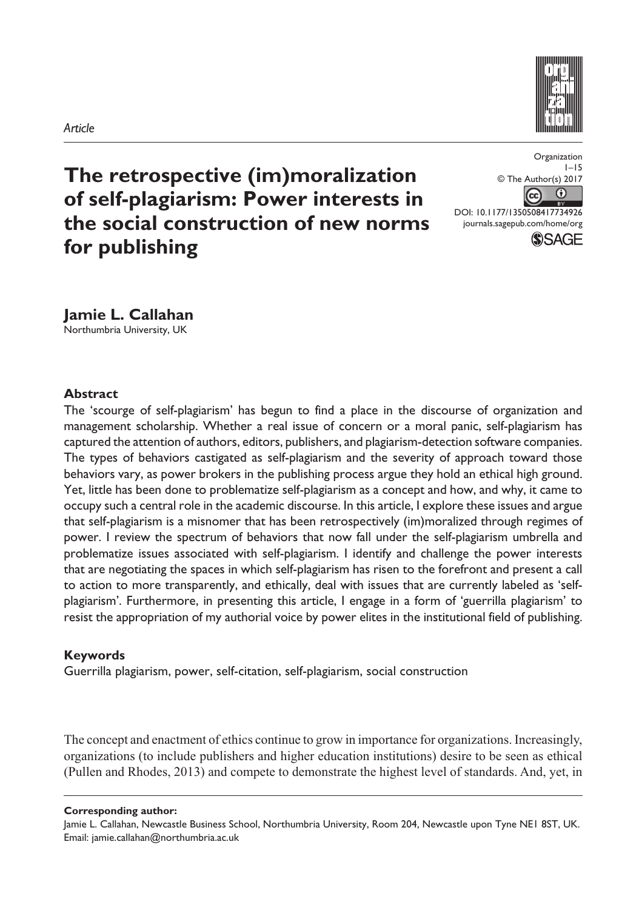

# **The retrospective (im)moralization of self-plagiarism: Power interests in the social construction of new norms for publishing**

**Organization** 1–15 © The Author(s) 2017  $cc$ DOI: 10.1177/1350508417734926 [journals.sagepub.com/home/org](https://journals.sagepub.com/home/org) **SAGE** 

**Jamie L. Callahan** Northumbria University, UK

### **Abstract**

The 'scourge of self-plagiarism' has begun to find a place in the discourse of organization and management scholarship. Whether a real issue of concern or a moral panic, self-plagiarism has captured the attention of authors, editors, publishers, and plagiarism-detection software companies. The types of behaviors castigated as self-plagiarism and the severity of approach toward those behaviors vary, as power brokers in the publishing process argue they hold an ethical high ground. Yet, little has been done to problematize self-plagiarism as a concept and how, and why, it came to occupy such a central role in the academic discourse. In this article, I explore these issues and argue that self-plagiarism is a misnomer that has been retrospectively (im)moralized through regimes of power. I review the spectrum of behaviors that now fall under the self-plagiarism umbrella and problematize issues associated with self-plagiarism. I identify and challenge the power interests that are negotiating the spaces in which self-plagiarism has risen to the forefront and present a call to action to more transparently, and ethically, deal with issues that are currently labeled as 'selfplagiarism'. Furthermore, in presenting this article, I engage in a form of 'guerrilla plagiarism' to resist the appropriation of my authorial voice by power elites in the institutional field of publishing.

# **Keywords**

Guerrilla plagiarism, power, self-citation, self-plagiarism, social construction

The concept and enactment of ethics continue to grow in importance for organizations. Increasingly, organizations (to include publishers and higher education institutions) desire to be seen as ethical (Pullen and Rhodes, 2013) and compete to demonstrate the highest level of standards. And, yet, in

**Corresponding author:**

Jamie L. Callahan, Newcastle Business School, Northumbria University, Room 204, Newcastle upon Tyne NE1 8ST, UK. Email: jamie.callahan@northumbria.ac.uk

#### *Article*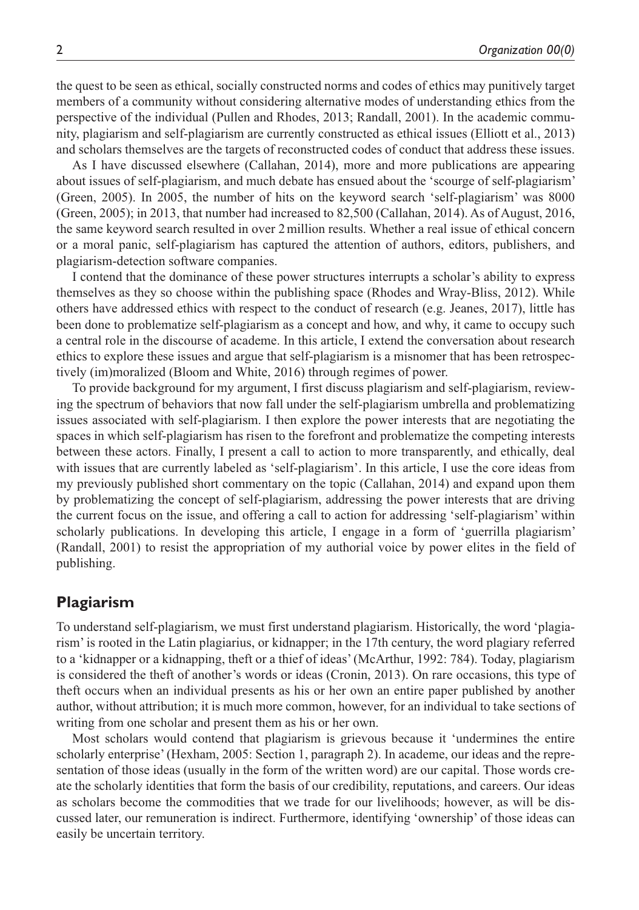the quest to be seen as ethical, socially constructed norms and codes of ethics may punitively target members of a community without considering alternative modes of understanding ethics from the perspective of the individual (Pullen and Rhodes, 2013; Randall, 2001). In the academic community, plagiarism and self-plagiarism are currently constructed as ethical issues (Elliott et al., 2013) and scholars themselves are the targets of reconstructed codes of conduct that address these issues.

As I have discussed elsewhere (Callahan, 2014), more and more publications are appearing about issues of self-plagiarism, and much debate has ensued about the 'scourge of self-plagiarism' (Green, 2005). In 2005, the number of hits on the keyword search 'self-plagiarism' was 8000 (Green, 2005); in 2013, that number had increased to 82,500 (Callahan, 2014). As of August, 2016, the same keyword search resulted in over 2million results. Whether a real issue of ethical concern or a moral panic, self-plagiarism has captured the attention of authors, editors, publishers, and plagiarism-detection software companies.

I contend that the dominance of these power structures interrupts a scholar's ability to express themselves as they so choose within the publishing space (Rhodes and Wray-Bliss, 2012). While others have addressed ethics with respect to the conduct of research (e.g. Jeanes, 2017), little has been done to problematize self-plagiarism as a concept and how, and why, it came to occupy such a central role in the discourse of academe. In this article, I extend the conversation about research ethics to explore these issues and argue that self-plagiarism is a misnomer that has been retrospectively (im)moralized (Bloom and White, 2016) through regimes of power.

To provide background for my argument, I first discuss plagiarism and self-plagiarism, reviewing the spectrum of behaviors that now fall under the self-plagiarism umbrella and problematizing issues associated with self-plagiarism. I then explore the power interests that are negotiating the spaces in which self-plagiarism has risen to the forefront and problematize the competing interests between these actors. Finally, I present a call to action to more transparently, and ethically, deal with issues that are currently labeled as 'self-plagiarism'. In this article, I use the core ideas from my previously published short commentary on the topic (Callahan, 2014) and expand upon them by problematizing the concept of self-plagiarism, addressing the power interests that are driving the current focus on the issue, and offering a call to action for addressing 'self-plagiarism' within scholarly publications. In developing this article, I engage in a form of 'guerrilla plagiarism' (Randall, 2001) to resist the appropriation of my authorial voice by power elites in the field of publishing.

# **Plagiarism**

To understand self-plagiarism, we must first understand plagiarism. Historically, the word 'plagiarism' is rooted in the Latin plagiarius, or kidnapper; in the 17th century, the word plagiary referred to a 'kidnapper or a kidnapping, theft or a thief of ideas' (McArthur, 1992: 784). Today, plagiarism is considered the theft of another's words or ideas (Cronin, 2013). On rare occasions, this type of theft occurs when an individual presents as his or her own an entire paper published by another author, without attribution; it is much more common, however, for an individual to take sections of writing from one scholar and present them as his or her own.

Most scholars would contend that plagiarism is grievous because it 'undermines the entire scholarly enterprise' (Hexham, 2005: Section 1, paragraph 2). In academe, our ideas and the representation of those ideas (usually in the form of the written word) are our capital. Those words create the scholarly identities that form the basis of our credibility, reputations, and careers. Our ideas as scholars become the commodities that we trade for our livelihoods; however, as will be discussed later, our remuneration is indirect. Furthermore, identifying 'ownership' of those ideas can easily be uncertain territory.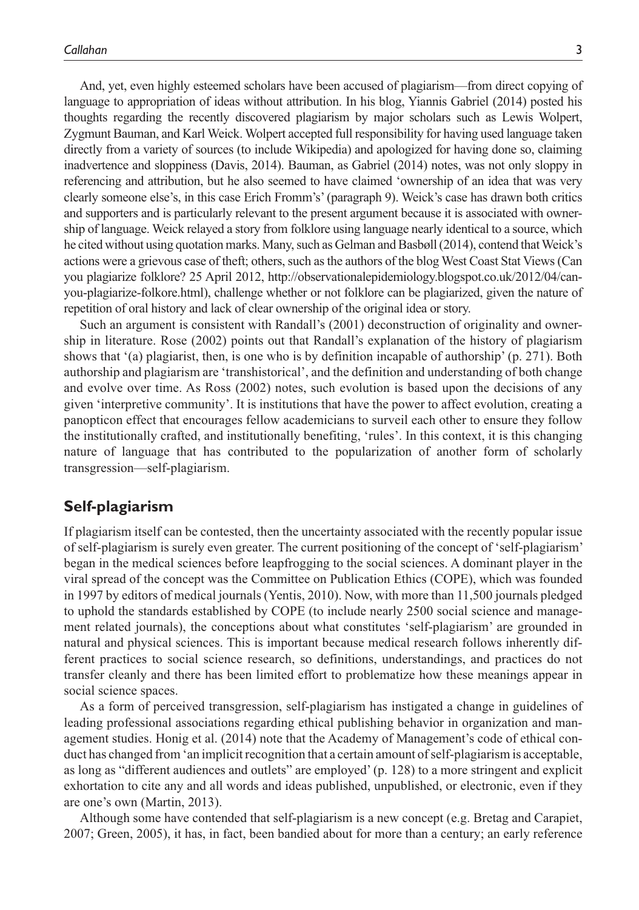And, yet, even highly esteemed scholars have been accused of plagiarism—from direct copying of language to appropriation of ideas without attribution. In his blog, Yiannis Gabriel (2014) posted his thoughts regarding the recently discovered plagiarism by major scholars such as Lewis Wolpert, Zygmunt Bauman, and Karl Weick. Wolpert accepted full responsibility for having used language taken directly from a variety of sources (to include Wikipedia) and apologized for having done so, claiming inadvertence and sloppiness (Davis, 2014). Bauman, as Gabriel (2014) notes, was not only sloppy in referencing and attribution, but he also seemed to have claimed 'ownership of an idea that was very clearly someone else's, in this case Erich Fromm's' (paragraph 9). Weick's case has drawn both critics and supporters and is particularly relevant to the present argument because it is associated with ownership of language. Weick relayed a story from folklore using language nearly identical to a source, which he cited without using quotation marks. Many, such as Gelman and Basbøll (2014), contend that Weick's actions were a grievous case of theft; others, such as the authors of the blog West Coast Stat Views (Can you plagiarize folklore? 25 April 2012, http://observationalepidemiology.blogspot.co.uk/2012/04/canyou-plagiarize-folkore.html), challenge whether or not folklore can be plagiarized, given the nature of repetition of oral history and lack of clear ownership of the original idea or story.

Such an argument is consistent with Randall's (2001) deconstruction of originality and ownership in literature. Rose (2002) points out that Randall's explanation of the history of plagiarism shows that '(a) plagiarist, then, is one who is by definition incapable of authorship' (p. 271). Both authorship and plagiarism are 'transhistorical', and the definition and understanding of both change and evolve over time. As Ross (2002) notes, such evolution is based upon the decisions of any given 'interpretive community'. It is institutions that have the power to affect evolution, creating a panopticon effect that encourages fellow academicians to surveil each other to ensure they follow the institutionally crafted, and institutionally benefiting, 'rules'. In this context, it is this changing nature of language that has contributed to the popularization of another form of scholarly transgression—self-plagiarism.

# **Self-plagiarism**

If plagiarism itself can be contested, then the uncertainty associated with the recently popular issue of self-plagiarism is surely even greater. The current positioning of the concept of 'self-plagiarism' began in the medical sciences before leapfrogging to the social sciences. A dominant player in the viral spread of the concept was the Committee on Publication Ethics (COPE), which was founded in 1997 by editors of medical journals (Yentis, 2010). Now, with more than 11,500 journals pledged to uphold the standards established by COPE (to include nearly 2500 social science and management related journals), the conceptions about what constitutes 'self-plagiarism' are grounded in natural and physical sciences. This is important because medical research follows inherently different practices to social science research, so definitions, understandings, and practices do not transfer cleanly and there has been limited effort to problematize how these meanings appear in social science spaces.

As a form of perceived transgression, self-plagiarism has instigated a change in guidelines of leading professional associations regarding ethical publishing behavior in organization and management studies. Honig et al. (2014) note that the Academy of Management's code of ethical conduct has changed from 'an implicit recognition that a certain amount of self-plagiarism is acceptable, as long as "different audiences and outlets" are employed' (p. 128) to a more stringent and explicit exhortation to cite any and all words and ideas published, unpublished, or electronic, even if they are one's own (Martin, 2013).

Although some have contended that self-plagiarism is a new concept (e.g. Bretag and Carapiet, 2007; Green, 2005), it has, in fact, been bandied about for more than a century; an early reference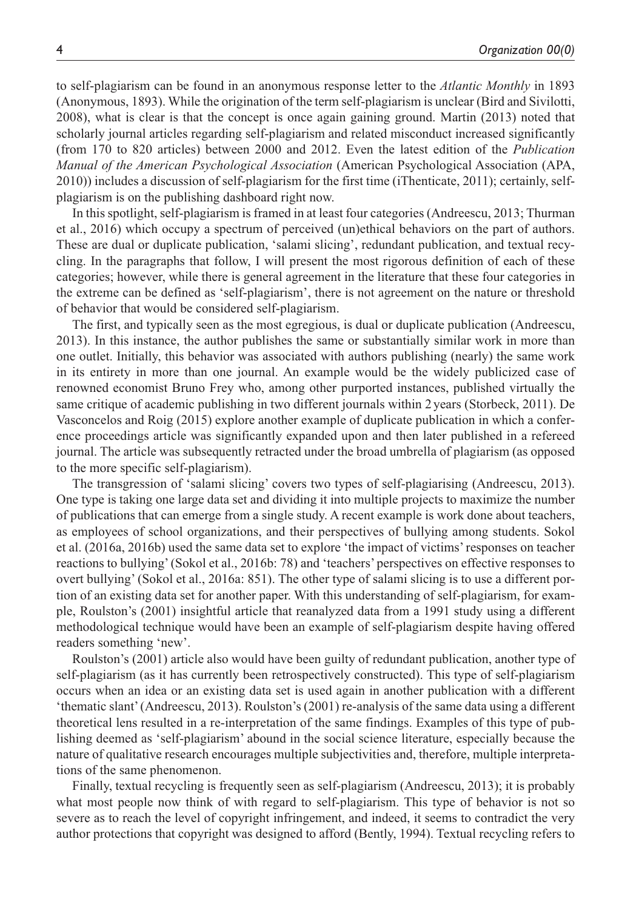to self-plagiarism can be found in an anonymous response letter to the *Atlantic Monthly* in 1893 (Anonymous, 1893). While the origination of the term self-plagiarism is unclear (Bird and Sivilotti, 2008), what is clear is that the concept is once again gaining ground. Martin (2013) noted that scholarly journal articles regarding self-plagiarism and related misconduct increased significantly (from 170 to 820 articles) between 2000 and 2012. Even the latest edition of the *Publication Manual of the American Psychological Association* (American Psychological Association (APA, 2010)) includes a discussion of self-plagiarism for the first time (iThenticate, 2011); certainly, selfplagiarism is on the publishing dashboard right now.

In this spotlight, self-plagiarism is framed in at least four categories (Andreescu, 2013; Thurman et al., 2016) which occupy a spectrum of perceived (un)ethical behaviors on the part of authors. These are dual or duplicate publication, 'salami slicing', redundant publication, and textual recycling. In the paragraphs that follow, I will present the most rigorous definition of each of these categories; however, while there is general agreement in the literature that these four categories in the extreme can be defined as 'self-plagiarism', there is not agreement on the nature or threshold of behavior that would be considered self-plagiarism.

The first, and typically seen as the most egregious, is dual or duplicate publication (Andreescu, 2013). In this instance, the author publishes the same or substantially similar work in more than one outlet. Initially, this behavior was associated with authors publishing (nearly) the same work in its entirety in more than one journal. An example would be the widely publicized case of renowned economist Bruno Frey who, among other purported instances, published virtually the same critique of academic publishing in two different journals within 2 years (Storbeck, 2011). De Vasconcelos and Roig (2015) explore another example of duplicate publication in which a conference proceedings article was significantly expanded upon and then later published in a refereed journal. The article was subsequently retracted under the broad umbrella of plagiarism (as opposed to the more specific self-plagiarism).

The transgression of 'salami slicing' covers two types of self-plagiarising (Andreescu, 2013). One type is taking one large data set and dividing it into multiple projects to maximize the number of publications that can emerge from a single study. A recent example is work done about teachers, as employees of school organizations, and their perspectives of bullying among students. Sokol et al. (2016a, 2016b) used the same data set to explore 'the impact of victims' responses on teacher reactions to bullying' (Sokol et al., 2016b: 78) and 'teachers' perspectives on effective responses to overt bullying' (Sokol et al., 2016a: 851). The other type of salami slicing is to use a different portion of an existing data set for another paper. With this understanding of self-plagiarism, for example, Roulston's (2001) insightful article that reanalyzed data from a 1991 study using a different methodological technique would have been an example of self-plagiarism despite having offered readers something 'new'.

Roulston's (2001) article also would have been guilty of redundant publication, another type of self-plagiarism (as it has currently been retrospectively constructed). This type of self-plagiarism occurs when an idea or an existing data set is used again in another publication with a different 'thematic slant' (Andreescu, 2013). Roulston's (2001) re-analysis of the same data using a different theoretical lens resulted in a re-interpretation of the same findings. Examples of this type of publishing deemed as 'self-plagiarism' abound in the social science literature, especially because the nature of qualitative research encourages multiple subjectivities and, therefore, multiple interpretations of the same phenomenon.

Finally, textual recycling is frequently seen as self-plagiarism (Andreescu, 2013); it is probably what most people now think of with regard to self-plagiarism. This type of behavior is not so severe as to reach the level of copyright infringement, and indeed, it seems to contradict the very author protections that copyright was designed to afford (Bently, 1994). Textual recycling refers to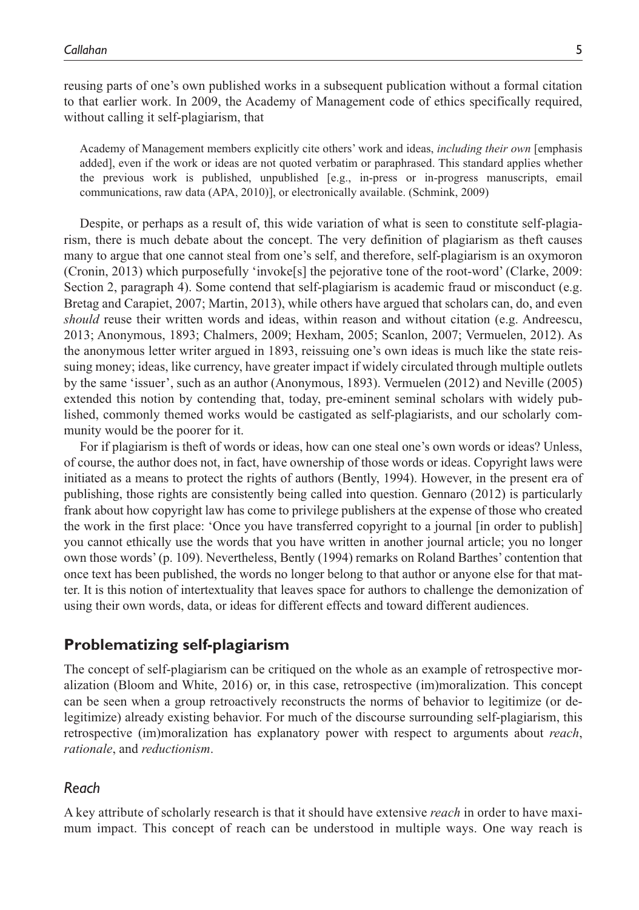reusing parts of one's own published works in a subsequent publication without a formal citation to that earlier work. In 2009, the Academy of Management code of ethics specifically required, without calling it self-plagiarism, that

Academy of Management members explicitly cite others' work and ideas, *including their own* [emphasis added], even if the work or ideas are not quoted verbatim or paraphrased. This standard applies whether the previous work is published, unpublished [e.g., in-press or in-progress manuscripts, email communications, raw data (APA, 2010)], or electronically available. (Schmink, 2009)

Despite, or perhaps as a result of, this wide variation of what is seen to constitute self-plagiarism, there is much debate about the concept. The very definition of plagiarism as theft causes many to argue that one cannot steal from one's self, and therefore, self-plagiarism is an oxymoron (Cronin, 2013) which purposefully 'invoke[s] the pejorative tone of the root-word' (Clarke, 2009: Section 2, paragraph 4). Some contend that self-plagiarism is academic fraud or misconduct (e.g. Bretag and Carapiet, 2007; Martin, 2013), while others have argued that scholars can, do, and even *should* reuse their written words and ideas, within reason and without citation (e.g. Andreescu, 2013; Anonymous, 1893; Chalmers, 2009; Hexham, 2005; Scanlon, 2007; Vermuelen, 2012). As the anonymous letter writer argued in 1893, reissuing one's own ideas is much like the state reissuing money; ideas, like currency, have greater impact if widely circulated through multiple outlets by the same 'issuer', such as an author (Anonymous, 1893). Vermuelen (2012) and Neville (2005) extended this notion by contending that, today, pre-eminent seminal scholars with widely published, commonly themed works would be castigated as self-plagiarists, and our scholarly community would be the poorer for it.

For if plagiarism is theft of words or ideas, how can one steal one's own words or ideas? Unless, of course, the author does not, in fact, have ownership of those words or ideas. Copyright laws were initiated as a means to protect the rights of authors (Bently, 1994). However, in the present era of publishing, those rights are consistently being called into question. Gennaro (2012) is particularly frank about how copyright law has come to privilege publishers at the expense of those who created the work in the first place: 'Once you have transferred copyright to a journal [in order to publish] you cannot ethically use the words that you have written in another journal article; you no longer own those words' (p. 109). Nevertheless, Bently (1994) remarks on Roland Barthes' contention that once text has been published, the words no longer belong to that author or anyone else for that matter. It is this notion of intertextuality that leaves space for authors to challenge the demonization of using their own words, data, or ideas for different effects and toward different audiences.

# **Problematizing self-plagiarism**

The concept of self-plagiarism can be critiqued on the whole as an example of retrospective moralization (Bloom and White, 2016) or, in this case, retrospective (im)moralization. This concept can be seen when a group retroactively reconstructs the norms of behavior to legitimize (or delegitimize) already existing behavior. For much of the discourse surrounding self-plagiarism, this retrospective (im)moralization has explanatory power with respect to arguments about *reach*, *rationale*, and *reductionism*.

#### *Reach*

A key attribute of scholarly research is that it should have extensive *reach* in order to have maximum impact. This concept of reach can be understood in multiple ways. One way reach is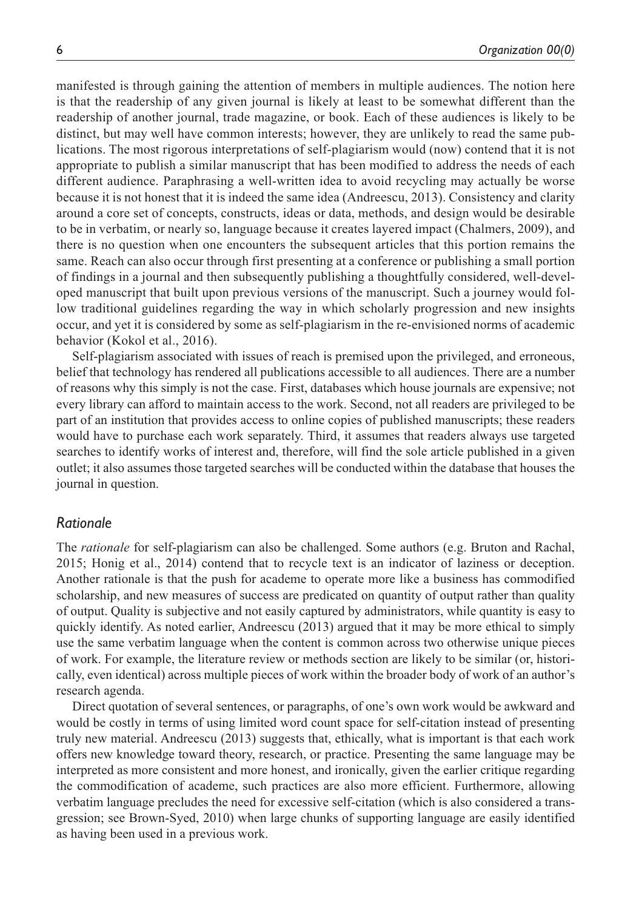manifested is through gaining the attention of members in multiple audiences. The notion here is that the readership of any given journal is likely at least to be somewhat different than the readership of another journal, trade magazine, or book. Each of these audiences is likely to be distinct, but may well have common interests; however, they are unlikely to read the same publications. The most rigorous interpretations of self-plagiarism would (now) contend that it is not appropriate to publish a similar manuscript that has been modified to address the needs of each different audience. Paraphrasing a well-written idea to avoid recycling may actually be worse because it is not honest that it is indeed the same idea (Andreescu, 2013). Consistency and clarity around a core set of concepts, constructs, ideas or data, methods, and design would be desirable to be in verbatim, or nearly so, language because it creates layered impact (Chalmers, 2009), and there is no question when one encounters the subsequent articles that this portion remains the same. Reach can also occur through first presenting at a conference or publishing a small portion of findings in a journal and then subsequently publishing a thoughtfully considered, well-developed manuscript that built upon previous versions of the manuscript. Such a journey would follow traditional guidelines regarding the way in which scholarly progression and new insights occur, and yet it is considered by some as self-plagiarism in the re-envisioned norms of academic behavior (Kokol et al., 2016).

Self-plagiarism associated with issues of reach is premised upon the privileged, and erroneous, belief that technology has rendered all publications accessible to all audiences. There are a number of reasons why this simply is not the case. First, databases which house journals are expensive; not every library can afford to maintain access to the work. Second, not all readers are privileged to be part of an institution that provides access to online copies of published manuscripts; these readers would have to purchase each work separately. Third, it assumes that readers always use targeted searches to identify works of interest and, therefore, will find the sole article published in a given outlet; it also assumes those targeted searches will be conducted within the database that houses the journal in question.

#### *Rationale*

The *rationale* for self-plagiarism can also be challenged. Some authors (e.g. Bruton and Rachal, 2015; Honig et al., 2014) contend that to recycle text is an indicator of laziness or deception. Another rationale is that the push for academe to operate more like a business has commodified scholarship, and new measures of success are predicated on quantity of output rather than quality of output. Quality is subjective and not easily captured by administrators, while quantity is easy to quickly identify. As noted earlier, Andreescu (2013) argued that it may be more ethical to simply use the same verbatim language when the content is common across two otherwise unique pieces of work. For example, the literature review or methods section are likely to be similar (or, historically, even identical) across multiple pieces of work within the broader body of work of an author's research agenda.

Direct quotation of several sentences, or paragraphs, of one's own work would be awkward and would be costly in terms of using limited word count space for self-citation instead of presenting truly new material. Andreescu (2013) suggests that, ethically, what is important is that each work offers new knowledge toward theory, research, or practice. Presenting the same language may be interpreted as more consistent and more honest, and ironically, given the earlier critique regarding the commodification of academe, such practices are also more efficient. Furthermore, allowing verbatim language precludes the need for excessive self-citation (which is also considered a transgression; see Brown-Syed, 2010) when large chunks of supporting language are easily identified as having been used in a previous work.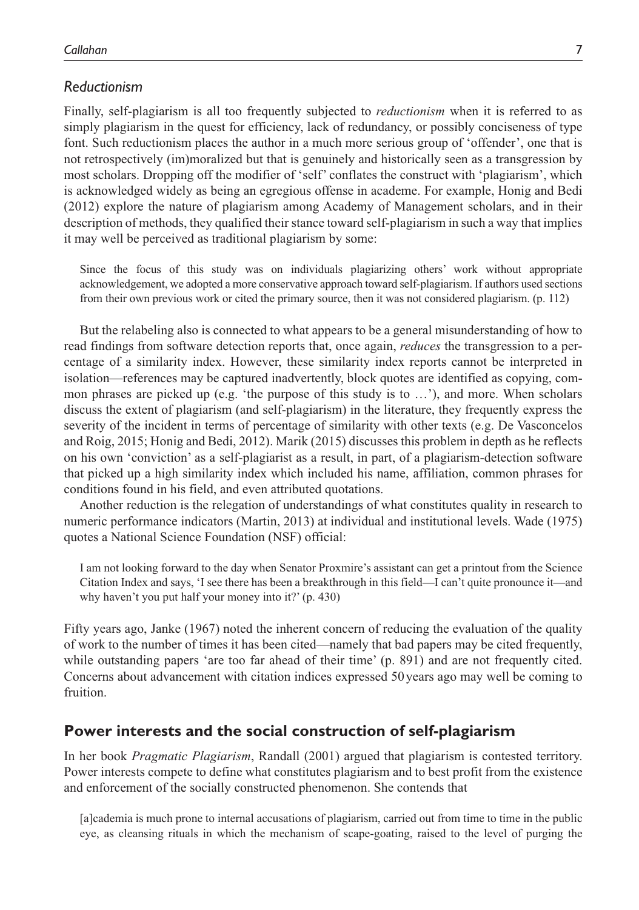#### *Reductionism*

Finally, self-plagiarism is all too frequently subjected to *reductionism* when it is referred to as simply plagiarism in the quest for efficiency, lack of redundancy, or possibly conciseness of type font. Such reductionism places the author in a much more serious group of 'offender', one that is not retrospectively (im)moralized but that is genuinely and historically seen as a transgression by most scholars. Dropping off the modifier of 'self' conflates the construct with 'plagiarism', which is acknowledged widely as being an egregious offense in academe. For example, Honig and Bedi (2012) explore the nature of plagiarism among Academy of Management scholars, and in their description of methods, they qualified their stance toward self-plagiarism in such a way that implies it may well be perceived as traditional plagiarism by some:

Since the focus of this study was on individuals plagiarizing others' work without appropriate acknowledgement, we adopted a more conservative approach toward self-plagiarism. If authors used sections from their own previous work or cited the primary source, then it was not considered plagiarism. (p. 112)

But the relabeling also is connected to what appears to be a general misunderstanding of how to read findings from software detection reports that, once again, *reduces* the transgression to a percentage of a similarity index. However, these similarity index reports cannot be interpreted in isolation—references may be captured inadvertently, block quotes are identified as copying, common phrases are picked up (e.g. 'the purpose of this study is to …'), and more. When scholars discuss the extent of plagiarism (and self-plagiarism) in the literature, they frequently express the severity of the incident in terms of percentage of similarity with other texts (e.g. De Vasconcelos and Roig, 2015; Honig and Bedi, 2012). Marik (2015) discusses this problem in depth as he reflects on his own 'conviction' as a self-plagiarist as a result, in part, of a plagiarism-detection software that picked up a high similarity index which included his name, affiliation, common phrases for conditions found in his field, and even attributed quotations.

Another reduction is the relegation of understandings of what constitutes quality in research to numeric performance indicators (Martin, 2013) at individual and institutional levels. Wade (1975) quotes a National Science Foundation (NSF) official:

I am not looking forward to the day when Senator Proxmire's assistant can get a printout from the Science Citation Index and says, 'I see there has been a breakthrough in this field—I can't quite pronounce it—and why haven't you put half your money into it?' (p. 430)

Fifty years ago, Janke (1967) noted the inherent concern of reducing the evaluation of the quality of work to the number of times it has been cited—namely that bad papers may be cited frequently, while outstanding papers 'are too far ahead of their time' (p. 891) and are not frequently cited. Concerns about advancement with citation indices expressed 50years ago may well be coming to fruition.

## **Power interests and the social construction of self-plagiarism**

In her book *Pragmatic Plagiarism*, Randall (2001) argued that plagiarism is contested territory. Power interests compete to define what constitutes plagiarism and to best profit from the existence and enforcement of the socially constructed phenomenon. She contends that

[a]cademia is much prone to internal accusations of plagiarism, carried out from time to time in the public eye, as cleansing rituals in which the mechanism of scape-goating, raised to the level of purging the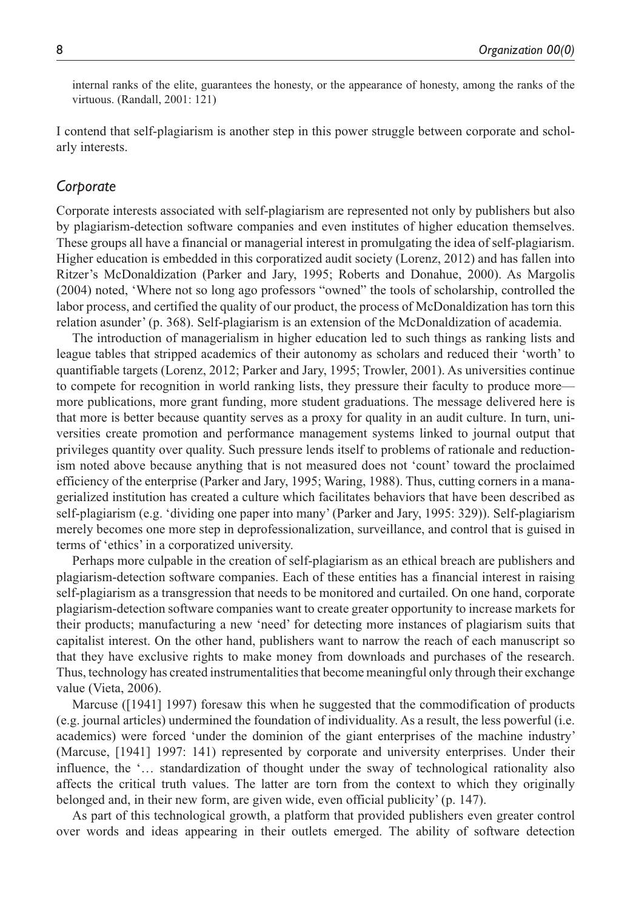internal ranks of the elite, guarantees the honesty, or the appearance of honesty, among the ranks of the virtuous. (Randall, 2001: 121)

I contend that self-plagiarism is another step in this power struggle between corporate and scholarly interests.

# *Corporate*

Corporate interests associated with self-plagiarism are represented not only by publishers but also by plagiarism-detection software companies and even institutes of higher education themselves. These groups all have a financial or managerial interest in promulgating the idea of self-plagiarism. Higher education is embedded in this corporatized audit society (Lorenz, 2012) and has fallen into Ritzer's McDonaldization (Parker and Jary, 1995; Roberts and Donahue, 2000). As Margolis (2004) noted, 'Where not so long ago professors "owned" the tools of scholarship, controlled the labor process, and certified the quality of our product, the process of McDonaldization has torn this relation asunder' (p. 368). Self-plagiarism is an extension of the McDonaldization of academia.

The introduction of managerialism in higher education led to such things as ranking lists and league tables that stripped academics of their autonomy as scholars and reduced their 'worth' to quantifiable targets (Lorenz, 2012; Parker and Jary, 1995; Trowler, 2001). As universities continue to compete for recognition in world ranking lists, they pressure their faculty to produce more more publications, more grant funding, more student graduations. The message delivered here is that more is better because quantity serves as a proxy for quality in an audit culture. In turn, universities create promotion and performance management systems linked to journal output that privileges quantity over quality. Such pressure lends itself to problems of rationale and reductionism noted above because anything that is not measured does not 'count' toward the proclaimed efficiency of the enterprise (Parker and Jary, 1995; Waring, 1988). Thus, cutting corners in a managerialized institution has created a culture which facilitates behaviors that have been described as self-plagiarism (e.g. 'dividing one paper into many' (Parker and Jary, 1995: 329)). Self-plagiarism merely becomes one more step in deprofessionalization, surveillance, and control that is guised in terms of 'ethics' in a corporatized university.

Perhaps more culpable in the creation of self-plagiarism as an ethical breach are publishers and plagiarism-detection software companies. Each of these entities has a financial interest in raising self-plagiarism as a transgression that needs to be monitored and curtailed. On one hand, corporate plagiarism-detection software companies want to create greater opportunity to increase markets for their products; manufacturing a new 'need' for detecting more instances of plagiarism suits that capitalist interest. On the other hand, publishers want to narrow the reach of each manuscript so that they have exclusive rights to make money from downloads and purchases of the research. Thus, technology has created instrumentalities that become meaningful only through their exchange value (Vieta, 2006).

Marcuse ([1941] 1997) foresaw this when he suggested that the commodification of products (e.g. journal articles) undermined the foundation of individuality. As a result, the less powerful (i.e. academics) were forced 'under the dominion of the giant enterprises of the machine industry' (Marcuse, [1941] 1997: 141) represented by corporate and university enterprises. Under their influence, the '… standardization of thought under the sway of technological rationality also affects the critical truth values. The latter are torn from the context to which they originally belonged and, in their new form, are given wide, even official publicity' (p. 147).

As part of this technological growth, a platform that provided publishers even greater control over words and ideas appearing in their outlets emerged. The ability of software detection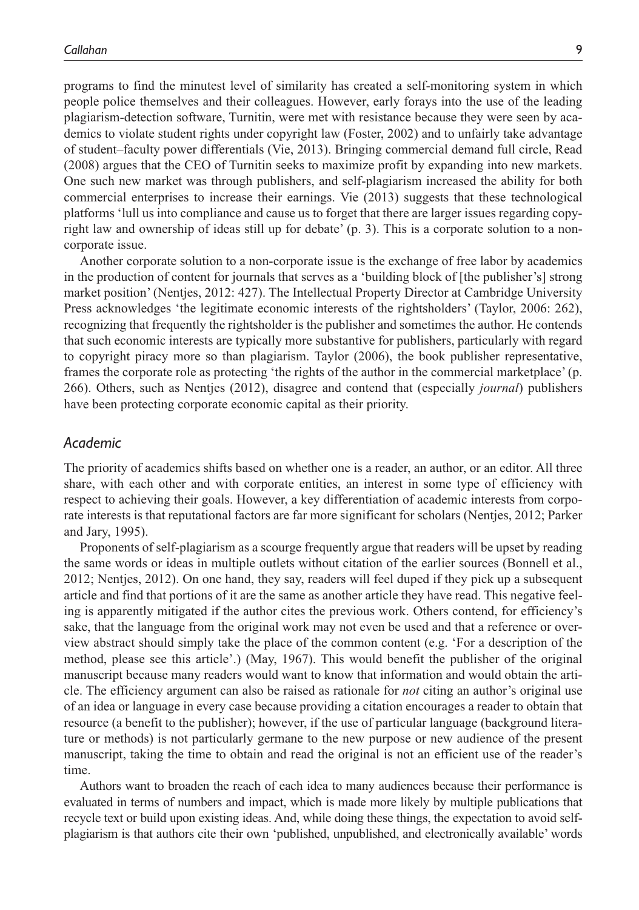programs to find the minutest level of similarity has created a self-monitoring system in which people police themselves and their colleagues. However, early forays into the use of the leading plagiarism-detection software, Turnitin, were met with resistance because they were seen by academics to violate student rights under copyright law (Foster, 2002) and to unfairly take advantage of student–faculty power differentials (Vie, 2013). Bringing commercial demand full circle, Read (2008) argues that the CEO of Turnitin seeks to maximize profit by expanding into new markets. One such new market was through publishers, and self-plagiarism increased the ability for both commercial enterprises to increase their earnings. Vie (2013) suggests that these technological platforms 'lull us into compliance and cause us to forget that there are larger issues regarding copyright law and ownership of ideas still up for debate' (p. 3). This is a corporate solution to a noncorporate issue.

Another corporate solution to a non-corporate issue is the exchange of free labor by academics in the production of content for journals that serves as a 'building block of [the publisher's] strong market position' (Nentjes, 2012: 427). The Intellectual Property Director at Cambridge University Press acknowledges 'the legitimate economic interests of the rightsholders' (Taylor, 2006: 262), recognizing that frequently the rightsholder is the publisher and sometimes the author. He contends that such economic interests are typically more substantive for publishers, particularly with regard to copyright piracy more so than plagiarism. Taylor (2006), the book publisher representative, frames the corporate role as protecting 'the rights of the author in the commercial marketplace' (p. 266). Others, such as Nentjes (2012), disagree and contend that (especially *journal*) publishers have been protecting corporate economic capital as their priority.

# *Academic*

The priority of academics shifts based on whether one is a reader, an author, or an editor. All three share, with each other and with corporate entities, an interest in some type of efficiency with respect to achieving their goals. However, a key differentiation of academic interests from corporate interests is that reputational factors are far more significant for scholars (Nentjes, 2012; Parker and Jary, 1995).

Proponents of self-plagiarism as a scourge frequently argue that readers will be upset by reading the same words or ideas in multiple outlets without citation of the earlier sources (Bonnell et al., 2012; Nentjes, 2012). On one hand, they say, readers will feel duped if they pick up a subsequent article and find that portions of it are the same as another article they have read. This negative feeling is apparently mitigated if the author cites the previous work. Others contend, for efficiency's sake, that the language from the original work may not even be used and that a reference or overview abstract should simply take the place of the common content (e.g. 'For a description of the method, please see this article'.) (May, 1967). This would benefit the publisher of the original manuscript because many readers would want to know that information and would obtain the article. The efficiency argument can also be raised as rationale for *not* citing an author's original use of an idea or language in every case because providing a citation encourages a reader to obtain that resource (a benefit to the publisher); however, if the use of particular language (background literature or methods) is not particularly germane to the new purpose or new audience of the present manuscript, taking the time to obtain and read the original is not an efficient use of the reader's time.

Authors want to broaden the reach of each idea to many audiences because their performance is evaluated in terms of numbers and impact, which is made more likely by multiple publications that recycle text or build upon existing ideas. And, while doing these things, the expectation to avoid selfplagiarism is that authors cite their own 'published, unpublished, and electronically available' words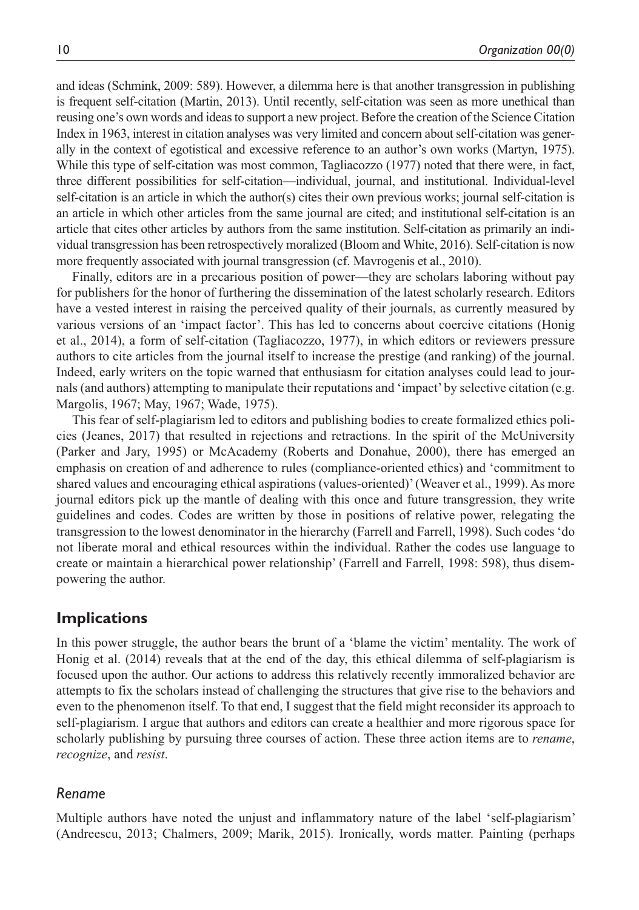and ideas (Schmink, 2009: 589). However, a dilemma here is that another transgression in publishing is frequent self-citation (Martin, 2013). Until recently, self-citation was seen as more unethical than reusing one's own words and ideas to support a new project. Before the creation of the Science Citation Index in 1963, interest in citation analyses was very limited and concern about self-citation was generally in the context of egotistical and excessive reference to an author's own works (Martyn, 1975). While this type of self-citation was most common, Tagliacozzo (1977) noted that there were, in fact, three different possibilities for self-citation—individual, journal, and institutional. Individual-level self-citation is an article in which the author(s) cites their own previous works; journal self-citation is an article in which other articles from the same journal are cited; and institutional self-citation is an article that cites other articles by authors from the same institution. Self-citation as primarily an individual transgression has been retrospectively moralized (Bloom and White, 2016). Self-citation is now more frequently associated with journal transgression (cf. Mavrogenis et al., 2010).

Finally, editors are in a precarious position of power—they are scholars laboring without pay for publishers for the honor of furthering the dissemination of the latest scholarly research. Editors have a vested interest in raising the perceived quality of their journals, as currently measured by various versions of an 'impact factor'. This has led to concerns about coercive citations (Honig et al., 2014), a form of self-citation (Tagliacozzo, 1977), in which editors or reviewers pressure authors to cite articles from the journal itself to increase the prestige (and ranking) of the journal. Indeed, early writers on the topic warned that enthusiasm for citation analyses could lead to journals (and authors) attempting to manipulate their reputations and 'impact' by selective citation (e.g. Margolis, 1967; May, 1967; Wade, 1975).

This fear of self-plagiarism led to editors and publishing bodies to create formalized ethics policies (Jeanes, 2017) that resulted in rejections and retractions. In the spirit of the McUniversity (Parker and Jary, 1995) or McAcademy (Roberts and Donahue, 2000), there has emerged an emphasis on creation of and adherence to rules (compliance-oriented ethics) and 'commitment to shared values and encouraging ethical aspirations (values-oriented)' (Weaver et al., 1999). As more journal editors pick up the mantle of dealing with this once and future transgression, they write guidelines and codes. Codes are written by those in positions of relative power, relegating the transgression to the lowest denominator in the hierarchy (Farrell and Farrell, 1998). Such codes 'do not liberate moral and ethical resources within the individual. Rather the codes use language to create or maintain a hierarchical power relationship' (Farrell and Farrell, 1998: 598), thus disempowering the author.

# **Implications**

In this power struggle, the author bears the brunt of a 'blame the victim' mentality. The work of Honig et al. (2014) reveals that at the end of the day, this ethical dilemma of self-plagiarism is focused upon the author. Our actions to address this relatively recently immoralized behavior are attempts to fix the scholars instead of challenging the structures that give rise to the behaviors and even to the phenomenon itself. To that end, I suggest that the field might reconsider its approach to self-plagiarism. I argue that authors and editors can create a healthier and more rigorous space for scholarly publishing by pursuing three courses of action. These three action items are to *rename*, *recognize*, and *resist*.

### *Rename*

Multiple authors have noted the unjust and inflammatory nature of the label 'self-plagiarism' (Andreescu, 2013; Chalmers, 2009; Marik, 2015). Ironically, words matter. Painting (perhaps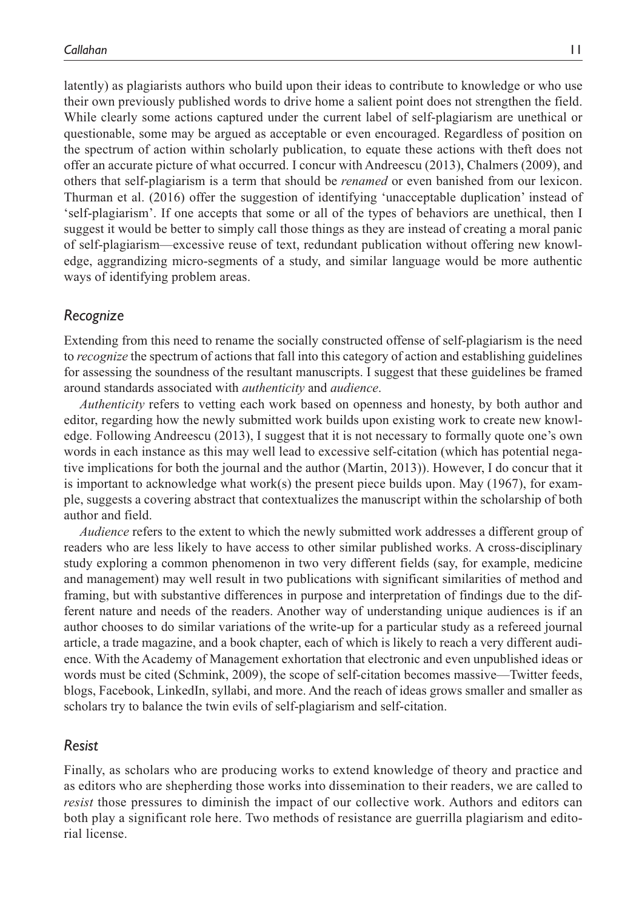latently) as plagiarists authors who build upon their ideas to contribute to knowledge or who use their own previously published words to drive home a salient point does not strengthen the field. While clearly some actions captured under the current label of self-plagiarism are unethical or questionable, some may be argued as acceptable or even encouraged. Regardless of position on the spectrum of action within scholarly publication, to equate these actions with theft does not offer an accurate picture of what occurred. I concur with Andreescu (2013), Chalmers (2009), and others that self-plagiarism is a term that should be *renamed* or even banished from our lexicon. Thurman et al. (2016) offer the suggestion of identifying 'unacceptable duplication' instead of 'self-plagiarism'. If one accepts that some or all of the types of behaviors are unethical, then I suggest it would be better to simply call those things as they are instead of creating a moral panic of self-plagiarism—excessive reuse of text, redundant publication without offering new knowledge, aggrandizing micro-segments of a study, and similar language would be more authentic ways of identifying problem areas.

# *Recognize*

Extending from this need to rename the socially constructed offense of self-plagiarism is the need to *recognize* the spectrum of actions that fall into this category of action and establishing guidelines for assessing the soundness of the resultant manuscripts. I suggest that these guidelines be framed around standards associated with *authenticity* and *audience*.

*Authenticity* refers to vetting each work based on openness and honesty, by both author and editor, regarding how the newly submitted work builds upon existing work to create new knowledge. Following Andreescu (2013), I suggest that it is not necessary to formally quote one's own words in each instance as this may well lead to excessive self-citation (which has potential negative implications for both the journal and the author (Martin, 2013)). However, I do concur that it is important to acknowledge what work(s) the present piece builds upon. May (1967), for example, suggests a covering abstract that contextualizes the manuscript within the scholarship of both author and field.

*Audience* refers to the extent to which the newly submitted work addresses a different group of readers who are less likely to have access to other similar published works. A cross-disciplinary study exploring a common phenomenon in two very different fields (say, for example, medicine and management) may well result in two publications with significant similarities of method and framing, but with substantive differences in purpose and interpretation of findings due to the different nature and needs of the readers. Another way of understanding unique audiences is if an author chooses to do similar variations of the write-up for a particular study as a refereed journal article, a trade magazine, and a book chapter, each of which is likely to reach a very different audience. With the Academy of Management exhortation that electronic and even unpublished ideas or words must be cited (Schmink, 2009), the scope of self-citation becomes massive—Twitter feeds, blogs, Facebook, LinkedIn, syllabi, and more. And the reach of ideas grows smaller and smaller as scholars try to balance the twin evils of self-plagiarism and self-citation.

#### *Resist*

Finally, as scholars who are producing works to extend knowledge of theory and practice and as editors who are shepherding those works into dissemination to their readers, we are called to *resist* those pressures to diminish the impact of our collective work. Authors and editors can both play a significant role here. Two methods of resistance are guerrilla plagiarism and editorial license.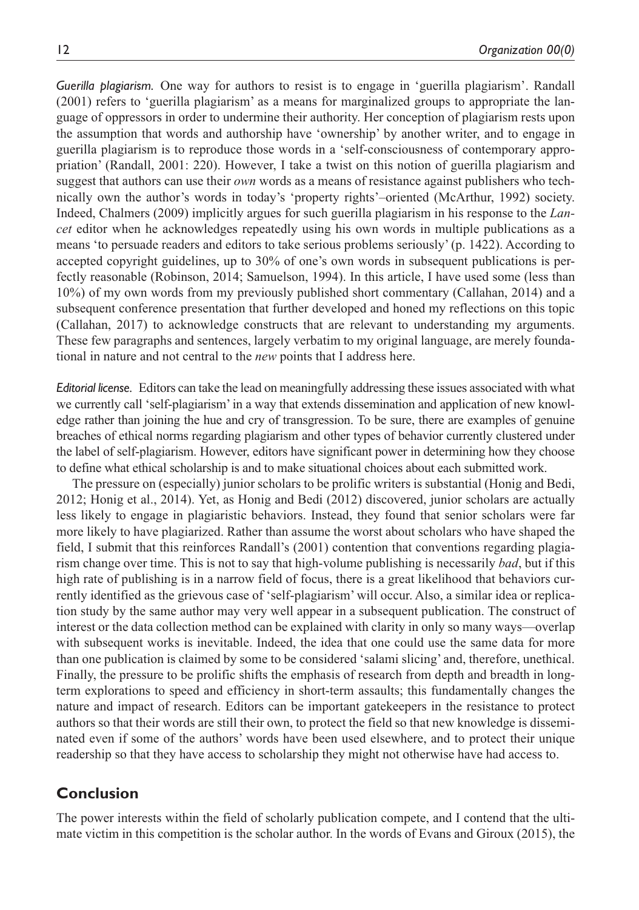*Guerilla plagiarism.* One way for authors to resist is to engage in 'guerilla plagiarism'. Randall (2001) refers to 'guerilla plagiarism' as a means for marginalized groups to appropriate the language of oppressors in order to undermine their authority. Her conception of plagiarism rests upon the assumption that words and authorship have 'ownership' by another writer, and to engage in guerilla plagiarism is to reproduce those words in a 'self-consciousness of contemporary appropriation' (Randall, 2001: 220). However, I take a twist on this notion of guerilla plagiarism and suggest that authors can use their *own* words as a means of resistance against publishers who technically own the author's words in today's 'property rights'–oriented (McArthur, 1992) society. Indeed, Chalmers (2009) implicitly argues for such guerilla plagiarism in his response to the *Lancet* editor when he acknowledges repeatedly using his own words in multiple publications as a means 'to persuade readers and editors to take serious problems seriously' (p. 1422). According to accepted copyright guidelines, up to 30% of one's own words in subsequent publications is perfectly reasonable (Robinson, 2014; Samuelson, 1994). In this article, I have used some (less than 10%) of my own words from my previously published short commentary (Callahan, 2014) and a subsequent conference presentation that further developed and honed my reflections on this topic (Callahan, 2017) to acknowledge constructs that are relevant to understanding my arguments. These few paragraphs and sentences, largely verbatim to my original language, are merely foundational in nature and not central to the *new* points that I address here.

*Editorial license.* Editors can take the lead on meaningfully addressing these issues associated with what we currently call 'self-plagiarism' in a way that extends dissemination and application of new knowledge rather than joining the hue and cry of transgression. To be sure, there are examples of genuine breaches of ethical norms regarding plagiarism and other types of behavior currently clustered under the label of self-plagiarism. However, editors have significant power in determining how they choose to define what ethical scholarship is and to make situational choices about each submitted work.

The pressure on (especially) junior scholars to be prolific writers is substantial (Honig and Bedi, 2012; Honig et al., 2014). Yet, as Honig and Bedi (2012) discovered, junior scholars are actually less likely to engage in plagiaristic behaviors. Instead, they found that senior scholars were far more likely to have plagiarized. Rather than assume the worst about scholars who have shaped the field, I submit that this reinforces Randall's (2001) contention that conventions regarding plagiarism change over time. This is not to say that high-volume publishing is necessarily *bad*, but if this high rate of publishing is in a narrow field of focus, there is a great likelihood that behaviors currently identified as the grievous case of 'self-plagiarism' will occur. Also, a similar idea or replication study by the same author may very well appear in a subsequent publication. The construct of interest or the data collection method can be explained with clarity in only so many ways—overlap with subsequent works is inevitable. Indeed, the idea that one could use the same data for more than one publication is claimed by some to be considered 'salami slicing' and, therefore, unethical. Finally, the pressure to be prolific shifts the emphasis of research from depth and breadth in longterm explorations to speed and efficiency in short-term assaults; this fundamentally changes the nature and impact of research. Editors can be important gatekeepers in the resistance to protect authors so that their words are still their own, to protect the field so that new knowledge is disseminated even if some of the authors' words have been used elsewhere, and to protect their unique readership so that they have access to scholarship they might not otherwise have had access to.

# **Conclusion**

The power interests within the field of scholarly publication compete, and I contend that the ultimate victim in this competition is the scholar author. In the words of Evans and Giroux (2015), the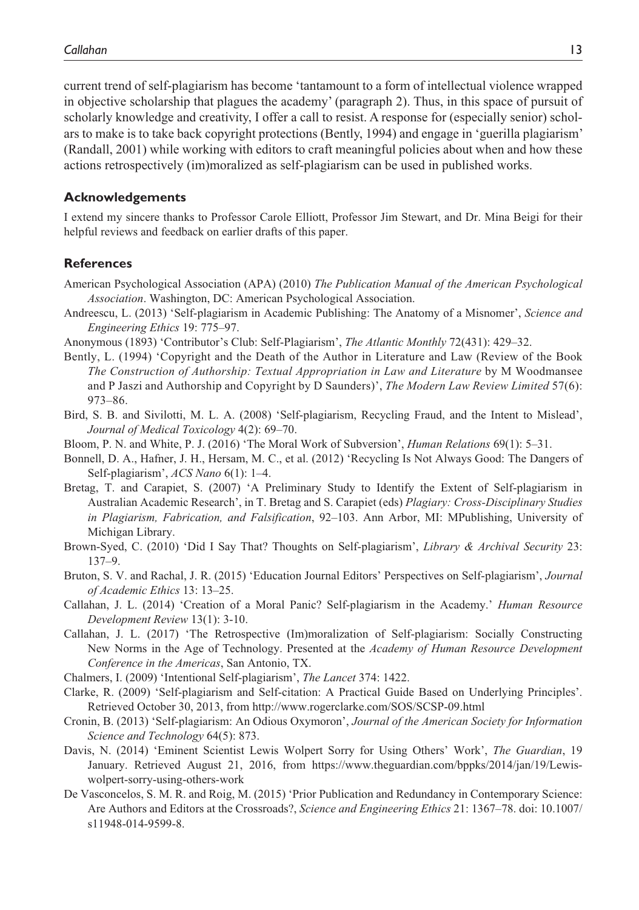current trend of self-plagiarism has become 'tantamount to a form of intellectual violence wrapped in objective scholarship that plagues the academy' (paragraph 2). Thus, in this space of pursuit of scholarly knowledge and creativity, I offer a call to resist. A response for (especially senior) scholars to make is to take back copyright protections (Bently, 1994) and engage in 'guerilla plagiarism' (Randall, 2001) while working with editors to craft meaningful policies about when and how these actions retrospectively (im)moralized as self-plagiarism can be used in published works.

#### **Acknowledgements**

I extend my sincere thanks to Professor Carole Elliott, Professor Jim Stewart, and Dr. Mina Beigi for their helpful reviews and feedback on earlier drafts of this paper.

#### **References**

- American Psychological Association (APA) (2010) *The Publication Manual of the American Psychological Association*. Washington, DC: American Psychological Association.
- Andreescu, L. (2013) 'Self-plagiarism in Academic Publishing: The Anatomy of a Misnomer', *Science and Engineering Ethics* 19: 775–97.
- Anonymous (1893) 'Contributor's Club: Self-Plagiarism', *The Atlantic Monthly* 72(431): 429–32.
- Bently, L. (1994) 'Copyright and the Death of the Author in Literature and Law (Review of the Book *The Construction of Authorship: Textual Appropriation in Law and Literature* by M Woodmansee and P Jaszi and Authorship and Copyright by D Saunders)', *The Modern Law Review Limited* 57(6): 973–86.
- Bird, S. B. and Sivilotti, M. L. A. (2008) 'Self-plagiarism, Recycling Fraud, and the Intent to Mislead', *Journal of Medical Toxicology* 4(2): 69–70.
- Bloom, P. N. and White, P. J. (2016) 'The Moral Work of Subversion', *Human Relations* 69(1): 5–31.
- Bonnell, D. A., Hafner, J. H., Hersam, M. C., et al. (2012) 'Recycling Is Not Always Good: The Dangers of Self-plagiarism', *ACS Nano* 6(1): 1–4.
- Bretag, T. and Carapiet, S. (2007) 'A Preliminary Study to Identify the Extent of Self-plagiarism in Australian Academic Research', in T. Bretag and S. Carapiet (eds) *Plagiary: Cross-Disciplinary Studies in Plagiarism, Fabrication, and Falsification*, 92–103. Ann Arbor, MI: MPublishing, University of Michigan Library.
- Brown-Syed, C. (2010) 'Did I Say That? Thoughts on Self-plagiarism', *Library & Archival Security* 23: 137–9.
- Bruton, S. V. and Rachal, J. R. (2015) 'Education Journal Editors' Perspectives on Self-plagiarism', *Journal of Academic Ethics* 13: 13–25.
- Callahan, J. L. (2014) 'Creation of a Moral Panic? Self-plagiarism in the Academy.' *Human Resource Development Review* 13(1): 3-10.
- Callahan, J. L. (2017) 'The Retrospective (Im)moralization of Self-plagiarism: Socially Constructing New Norms in the Age of Technology. Presented at the *Academy of Human Resource Development Conference in the Americas*, San Antonio, TX.
- Chalmers, I. (2009) 'Intentional Self-plagiarism', *The Lancet* 374: 1422.
- Clarke, R. (2009) 'Self-plagiarism and Self-citation: A Practical Guide Based on Underlying Principles'. Retrieved October 30, 2013, from http://www.rogerclarke.com/SOS/SCSP-09.html
- Cronin, B. (2013) 'Self-plagiarism: An Odious Oxymoron', *Journal of the American Society for Information Science and Technology* 64(5): 873.
- Davis, N. (2014) 'Eminent Scientist Lewis Wolpert Sorry for Using Others' Work', *The Guardian*, 19 January. Retrieved August 21, 2016, from [https://www.theguardian.com/bppks/2014/jan/19/Lewis](https://www.theguardian.com/bppks/2014/jan/19/Lewis-wolpert-sorry-using-others-work)[wolpert-sorry-using-others-work](https://www.theguardian.com/bppks/2014/jan/19/Lewis-wolpert-sorry-using-others-work)
- De Vasconcelos, S. M. R. and Roig, M. (2015) 'Prior Publication and Redundancy in Contemporary Science: Are Authors and Editors at the Crossroads?, *Science and Engineering Ethics* 21: 1367–78. doi: 10.1007/ s11948-014-9599-8.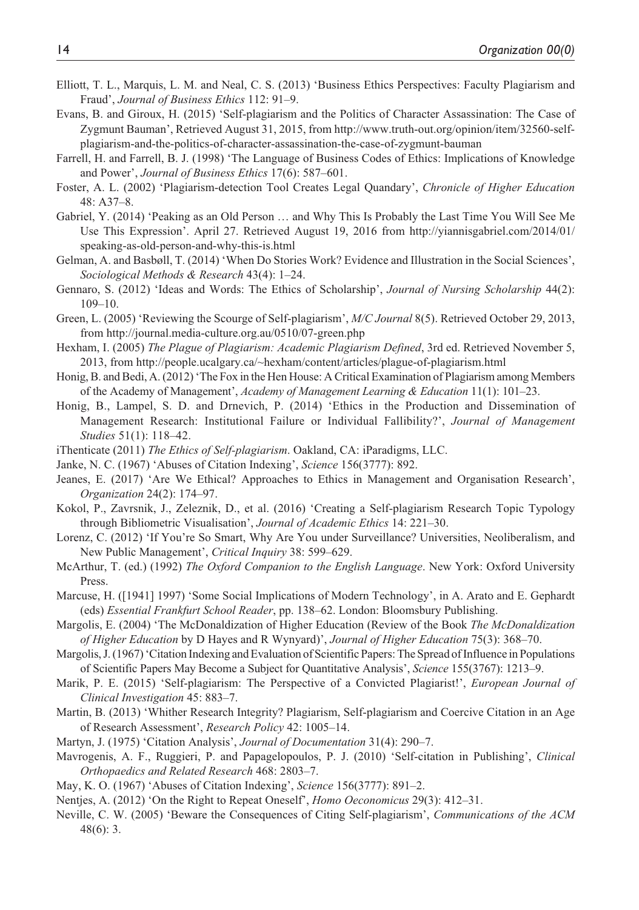- Elliott, T. L., Marquis, L. M. and Neal, C. S. (2013) 'Business Ethics Perspectives: Faculty Plagiarism and Fraud', *Journal of Business Ethics* 112: 91–9.
- Evans, B. and Giroux, H. (2015) 'Self-plagiarism and the Politics of Character Assassination: The Case of Zygmunt Bauman', Retrieved August 31, 2015, from http://www.truth-out.org/opinion/item/32560-selfplagiarism-and-the-politics-of-character-assassination-the-case-of-zygmunt-bauman
- Farrell, H. and Farrell, B. J. (1998) 'The Language of Business Codes of Ethics: Implications of Knowledge and Power', *Journal of Business Ethics* 17(6): 587–601.
- Foster, A. L. (2002) 'Plagiarism-detection Tool Creates Legal Quandary', *Chronicle of Higher Education* 48: A37–8.
- Gabriel, Y. (2014) 'Peaking as an Old Person … and Why This Is Probably the Last Time You Will See Me Use This Expression'. April 27. Retrieved August 19, 2016 from [http://yiannisgabriel.com/2014/01/](http://yiannisgabriel.com/2014/01/speaking-as-old-person-and-why-this-is.html) [speaking-as-old-person-and-why-this-is.html](http://yiannisgabriel.com/2014/01/speaking-as-old-person-and-why-this-is.html)
- Gelman, A. and Basbøll, T. (2014) 'When Do Stories Work? Evidence and Illustration in the Social Sciences', *Sociological Methods & Research* 43(4): 1–24.
- Gennaro, S. (2012) 'Ideas and Words: The Ethics of Scholarship', *Journal of Nursing Scholarship* 44(2): 109–10.
- Green, L. (2005) 'Reviewing the Scourge of Self-plagiarism', *M/C Journal* 8(5). Retrieved October 29, 2013, from http://journal.media-culture.org.au/0510/07-green.php
- Hexham, I. (2005) *The Plague of Plagiarism: Academic Plagiarism Defined*, 3rd ed. Retrieved November 5, 2013, from http://people.ucalgary.ca/~hexham/content/articles/plague-of-plagiarism.html
- Honig, B. and Bedi, A. (2012) 'The Fox in the Hen House: A Critical Examination of Plagiarism among Members of the Academy of Management', *Academy of Management Learning & Education* 11(1): 101–23.
- Honig, B., Lampel, S. D. and Drnevich, P. (2014) 'Ethics in the Production and Dissemination of Management Research: Institutional Failure or Individual Fallibility?', *Journal of Management Studies* 51(1): 118–42.
- iThenticate (2011) *The Ethics of Self-plagiarism*. Oakland, CA: iParadigms, LLC.
- Janke, N. C. (1967) 'Abuses of Citation Indexing', *Science* 156(3777): 892.
- Jeanes, E. (2017) 'Are We Ethical? Approaches to Ethics in Management and Organisation Research', *Organization* 24(2): 174–97.
- Kokol, P., Zavrsnik, J., Zeleznik, D., et al. (2016) 'Creating a Self-plagiarism Research Topic Typology through Bibliometric Visualisation', *Journal of Academic Ethics* 14: 221–30.
- Lorenz, C. (2012) 'If You're So Smart, Why Are You under Surveillance? Universities, Neoliberalism, and New Public Management', *Critical Inquiry* 38: 599–629.
- McArthur, T. (ed.) (1992) *The Oxford Companion to the English Language*. New York: Oxford University Press.
- Marcuse, H. ([1941] 1997) 'Some Social Implications of Modern Technology', in A. Arato and E. Gephardt (eds) *Essential Frankfurt School Reader*, pp. 138–62. London: Bloomsbury Publishing.
- Margolis, E. (2004) 'The McDonaldization of Higher Education (Review of the Book *The McDonaldization of Higher Education* by D Hayes and R Wynyard)', *Journal of Higher Education* 75(3): 368–70.
- Margolis, J. (1967) 'Citation Indexing and Evaluation of Scientific Papers: The Spread of Influence in Populations of Scientific Papers May Become a Subject for Quantitative Analysis', *Science* 155(3767): 1213–9.
- Marik, P. E. (2015) 'Self-plagiarism: The Perspective of a Convicted Plagiarist!', *European Journal of Clinical Investigation* 45: 883–7.
- Martin, B. (2013) 'Whither Research Integrity? Plagiarism, Self-plagiarism and Coercive Citation in an Age of Research Assessment', *Research Policy* 42: 1005–14.
- Martyn, J. (1975) 'Citation Analysis', *Journal of Documentation* 31(4): 290–7.
- Mavrogenis, A. F., Ruggieri, P. and Papagelopoulos, P. J. (2010) 'Self-citation in Publishing', *Clinical Orthopaedics and Related Research* 468: 2803–7.
- May, K. O. (1967) 'Abuses of Citation Indexing', *Science* 156(3777): 891–2.
- Nentjes, A. (2012) 'On the Right to Repeat Oneself', *Homo Oeconomicus* 29(3): 412–31.
- Neville, C. W. (2005) 'Beware the Consequences of Citing Self-plagiarism', *Communications of the ACM* 48(6): 3.